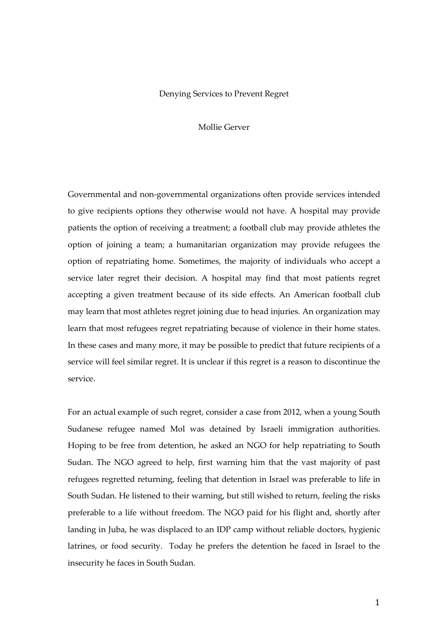## Denying Services to Prevent Regret

Mollie Gerver

Governmental and non-governmental organizations often provide services intended to give recipients options they otherwise would not have. A hospital may provide patients the option of receiving a treatment; a football club may provide athletes the option of joining a team; a humanitarian organization may provide refugees the option of repatriating home. Sometimes, the majority of individuals who accept a service later regret their decision. A hospital may find that most patients regret accepting a given treatment because of its side effects. An American football club may learn that most athletes regret joining due to head injuries. An organization may learn that most refugees regret repatriating because of violence in their home states. In these cases and many more, it may be possible to predict that future recipients of a service will feel similar regret. It is unclear if this regret is a reason to discontinue the service.

For an actual example of such regret, consider a case from 2012, when a young South Sudanese refugee named Mol was detained by Israeli immigration authorities. Hoping to be free from detention, he asked an NGO for help repatriating to South Sudan. The NGO agreed to help, first warning him that the vast majority of past refugees regretted returning, feeling that detention in Israel was preferable to life in South Sudan. He listened to their warning, but still wished to return, feeling the risks preferable to a life without freedom. The NGO paid for his flight and, shortly after landing in Juba, he was displaced to an IDP camp without reliable doctors, hygienic latrines, or food security. Today he prefers the detention he faced in Israel to the insecurity he faces in South Sudan.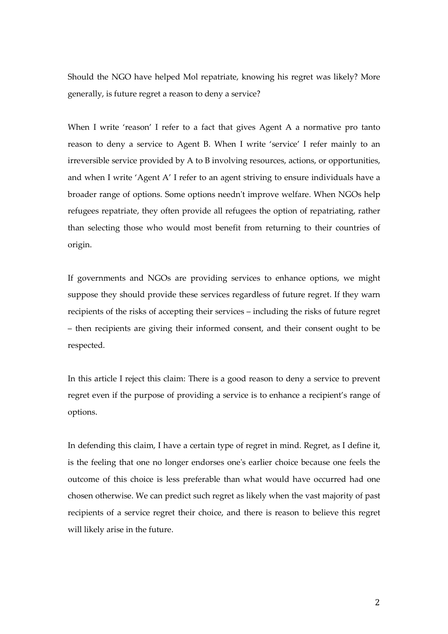Should the NGO have helped Mol repatriate, knowing his regret was likely? More generally, is future regret a reason to deny a service?

When I write 'reason' I refer to a fact that gives Agent A a normative pro tanto reason to deny a service to Agent B. When I write 'service' I refer mainly to an irreversible service provided by A to B involving resources, actions, or opportunities, and when I write 'Agent A' I refer to an agent striving to ensure individuals have a broader range of options. Some options needn't improve welfare. When NGOs help refugees repatriate, they often provide all refugees the option of repatriating, rather than selecting those who would most benefit from returning to their countries of origin.

If governments and NGOs are providing services to enhance options, we might suppose they should provide these services regardless of future regret. If they warn recipients of the risks of accepting their services – including the risks of future regret – then recipients are giving their informed consent, and their consent ought to be respected.

In this article I reject this claim: There is a good reason to deny a service to prevent regret even if the purpose of providing a service is to enhance a recipient's range of options.

In defending this claim, I have a certain type of regret in mind. Regret, as I define it, is the feeling that one no longer endorses one's earlier choice because one feels the outcome of this choice is less preferable than what would have occurred had one chosen otherwise. We can predict such regret as likely when the vast majority of past recipients of a service regret their choice, and there is reason to believe this regret will likely arise in the future.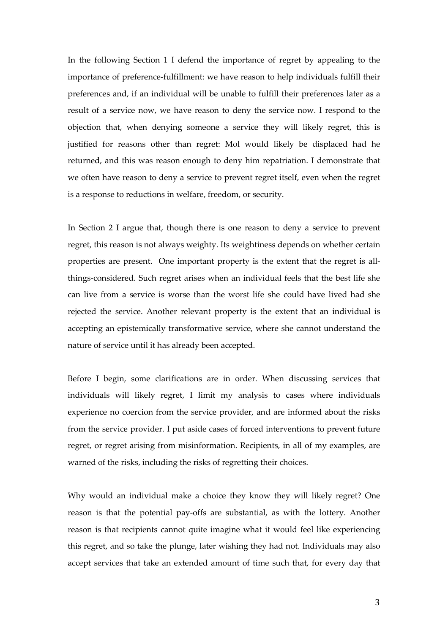In the following Section 1 I defend the importance of regret by appealing to the importance of preference-fulfillment: we have reason to help individuals fulfill their preferences and, if an individual will be unable to fulfill their preferences later as a result of a service now, we have reason to deny the service now. I respond to the objection that, when denying someone a service they will likely regret, this is justified for reasons other than regret: Mol would likely be displaced had he returned, and this was reason enough to deny him repatriation. I demonstrate that we often have reason to deny a service to prevent regret itself, even when the regret is a response to reductions in welfare, freedom, or security.

In Section 2 I argue that, though there is one reason to deny a service to prevent regret, this reason is not always weighty. Its weightiness depends on whether certain properties are present. One important property is the extent that the regret is allthings-considered. Such regret arises when an individual feels that the best life she can live from a service is worse than the worst life she could have lived had she rejected the service. Another relevant property is the extent that an individual is accepting an epistemically transformative service, where she cannot understand the nature of service until it has already been accepted.

Before I begin, some clarifications are in order. When discussing services that individuals will likely regret, I limit my analysis to cases where individuals experience no coercion from the service provider, and are informed about the risks from the service provider. I put aside cases of forced interventions to prevent future regret, or regret arising from misinformation. Recipients, in all of my examples, are warned of the risks, including the risks of regretting their choices.

Why would an individual make a choice they know they will likely regret? One reason is that the potential pay-offs are substantial, as with the lottery. Another reason is that recipients cannot quite imagine what it would feel like experiencing this regret, and so take the plunge, later wishing they had not. Individuals may also accept services that take an extended amount of time such that, for every day that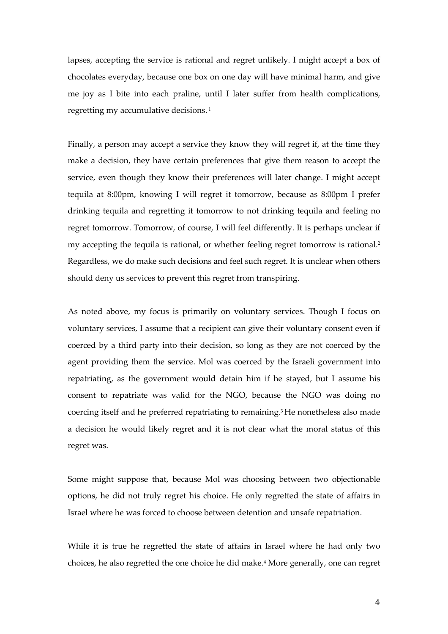lapses, accepting the service is rational and regret unlikely. I might accept a box of chocolates everyday, because one box on one day will have minimal harm, and give me joy as I bite into each praline, until I later suffer from health complications, regretting my accumulative decisions. $^1$ 

Finally, a person may accept a service they know they will regret if, at the time they make a decision, they have certain preferences that give them reason to accept the service, even though they know their preferences will later change. I might accept tequila at 8:00pm, knowing I will regret it tomorrow, because as 8:00pm I prefer drinking tequila and regretting it tomorrow to not drinking tequila and feeling no regret tomorrow. Tomorrow, of course, I will feel differently. It is perhaps unclear if my accepting the tequila is rational, or whether feeling regret tomorrow is rational.<sup>2</sup> Regardless, we do make such decisions and feel such regret. It is unclear when others should deny us services to prevent this regret from transpiring.

As noted above, my focus is primarily on voluntary services. Though I focus on voluntary services, I assume that a recipient can give their voluntary consent even if coerced by a third party into their decision, so long as they are not coerced by the agent providing them the service. Mol was coerced by the Israeli government into repatriating, as the government would detain him if he stayed, but I assume his consent to repatriate was valid for the NGO, because the NGO was doing no coercing itself and he preferred repatriating to remaining.<sup>3</sup> He nonetheless also made a decision he would likely regret and it is not clear what the moral status of this regret was.

Some might suppose that, because Mol was choosing between two objectionable options, he did not truly regret his choice. He only regretted the state of affairs in Israel where he was forced to choose between detention and unsafe repatriation.

While it is true he regretted the state of affairs in Israel where he had only two choices, he also regretted the one choice he did make.<sup>4</sup> More generally, one can regret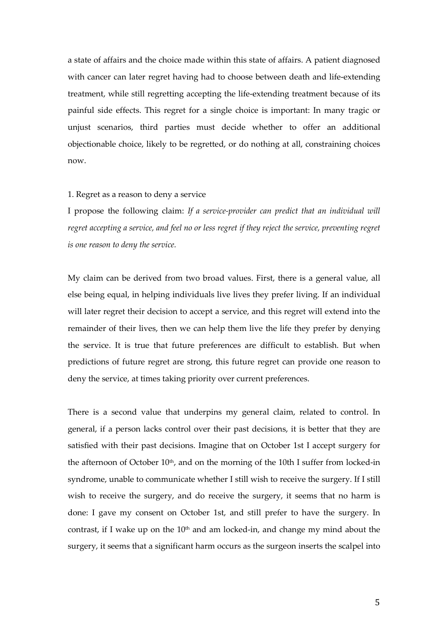a state of affairs and the choice made within this state of affairs. A patient diagnosed with cancer can later regret having had to choose between death and life-extending treatment, while still regretting accepting the life-extending treatment because of its painful side effects. This regret for a single choice is important: In many tragic or unjust scenarios, third parties must decide whether to offer an additional objectionable choice, likely to be regretted, or do nothing at all, constraining choices now.

## 1. Regret as a reason to deny a service

I propose the following claim: *If a service-provider can predict that an individual will regret accepting a service, and feel no or less regret if they reject the service, preventing regret is one reason to deny the service.*

My claim can be derived from two broad values. First, there is a general value, all else being equal, in helping individuals live lives they prefer living. If an individual will later regret their decision to accept a service, and this regret will extend into the remainder of their lives, then we can help them live the life they prefer by denying the service. It is true that future preferences are difficult to establish. But when predictions of future regret are strong, this future regret can provide one reason to deny the service, at times taking priority over current preferences.

There is a second value that underpins my general claim, related to control. In general, if a person lacks control over their past decisions, it is better that they are satisfied with their past decisions. Imagine that on October 1st I accept surgery for the afternoon of October 10<sup>th</sup>, and on the morning of the 10th I suffer from locked-in syndrome, unable to communicate whether I still wish to receive the surgery. If I still wish to receive the surgery, and do receive the surgery, it seems that no harm is done: I gave my consent on October 1st, and still prefer to have the surgery. In contrast, if I wake up on the  $10<sup>th</sup>$  and am locked-in, and change my mind about the surgery, it seems that a significant harm occurs as the surgeon inserts the scalpel into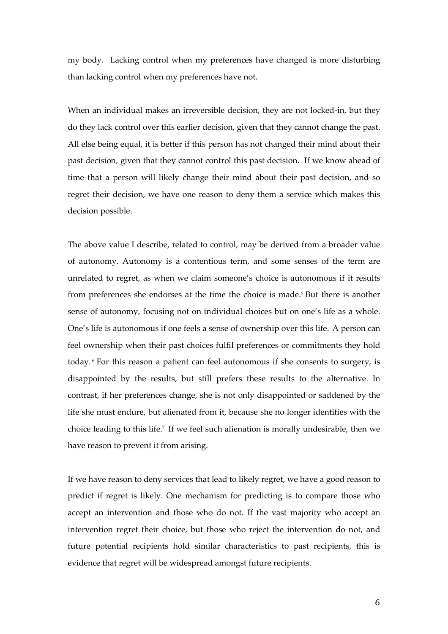my body. Lacking control when my preferences have changed is more disturbing than lacking control when my preferences have not.

When an individual makes an irreversible decision, they are not locked-in, but they do they lack control over this earlier decision, given that they cannot change the past. All else being equal, it is better if this person has not changed their mind about their past decision, given that they cannot control this past decision. If we know ahead of time that a person will likely change their mind about their past decision, and so regret their decision, we have one reason to deny them a service which makes this decision possible.

The above value I describe, related to control, may be derived from a broader value of autonomy. Autonomy is a contentious term, and some senses of the term are unrelated to regret, as when we claim someone's choice is autonomous if it results from preferences she endorses at the time the choice is made.<sup>5</sup> But there is another sense of autonomy, focusing not on individual choices but on one's life as a whole. One's life is autonomous if one feels a sense of ownership over this life. A person can feel ownership when their past choices fulfil preferences or commitments they hold today. 6 For this reason a patient can feel autonomous if she consents to surgery, is disappointed by the results, but still prefers these results to the alternative. In contrast, if her preferences change, she is not only disappointed or saddened by the life she must endure, but alienated from it, because she no longer identifies with the choice leading to this life.7 If we feel such alienation is morally undesirable, then we have reason to prevent it from arising.

If we have reason to deny services that lead to likely regret, we have a good reason to predict if regret is likely. One mechanism for predicting is to compare those who accept an intervention and those who do not. If the vast majority who accept an intervention regret their choice, but those who reject the intervention do not, and future potential recipients hold similar characteristics to past recipients, this is evidence that regret will be widespread amongst future recipients.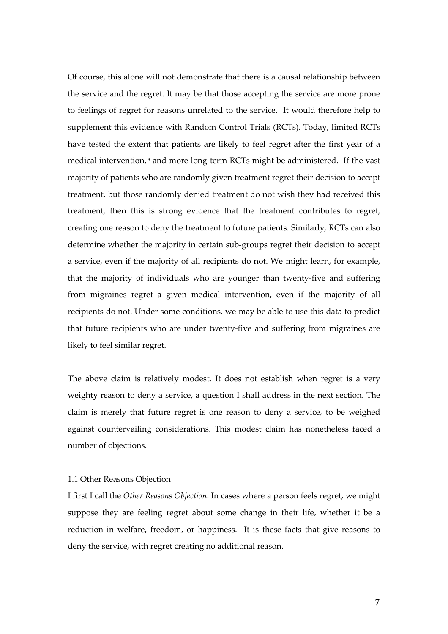Of course, this alone will not demonstrate that there is a causal relationship between the service and the regret. It may be that those accepting the service are more prone to feelings of regret for reasons unrelated to the service. It would therefore help to supplement this evidence with Random Control Trials (RCTs). Today, limited RCTs have tested the extent that patients are likely to feel regret after the first year of a medical intervention, 8 and more long-term RCTs might be administered. If the vast majority of patients who are randomly given treatment regret their decision to accept treatment, but those randomly denied treatment do not wish they had received this treatment, then this is strong evidence that the treatment contributes to regret, creating one reason to deny the treatment to future patients. Similarly, RCTs can also determine whether the majority in certain sub-groups regret their decision to accept a service, even if the majority of all recipients do not. We might learn, for example, that the majority of individuals who are younger than twenty-five and suffering from migraines regret a given medical intervention, even if the majority of all recipients do not. Under some conditions, we may be able to use this data to predict that future recipients who are under twenty-five and suffering from migraines are likely to feel similar regret.

The above claim is relatively modest. It does not establish when regret is a very weighty reason to deny a service, a question I shall address in the next section. The claim is merely that future regret is one reason to deny a service, to be weighed against countervailing considerations. This modest claim has nonetheless faced a number of objections.

#### 1.1 Other Reasons Objection

I first I call the *Other Reasons Objection*. In cases where a person feels regret, we might suppose they are feeling regret about some change in their life, whether it be a reduction in welfare, freedom, or happiness. It is these facts that give reasons to deny the service, with regret creating no additional reason.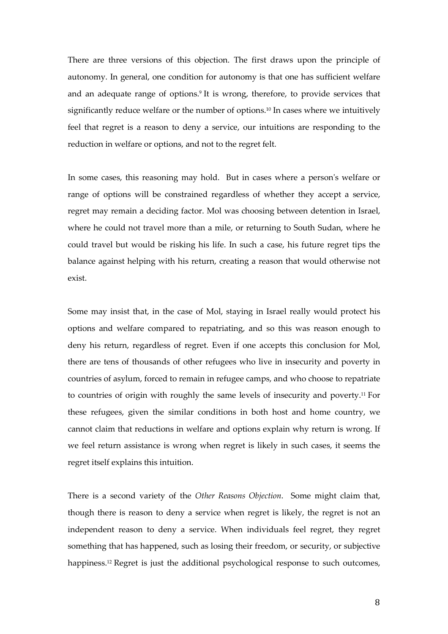There are three versions of this objection. The first draws upon the principle of autonomy. In general, one condition for autonomy is that one has sufficient welfare and an adequate range of options.<sup>9</sup> It is wrong, therefore, to provide services that significantly reduce welfare or the number of options.<sup>10</sup> In cases where we intuitively feel that regret is a reason to deny a service, our intuitions are responding to the reduction in welfare or options, and not to the regret felt.

In some cases, this reasoning may hold. But in cases where a person's welfare or range of options will be constrained regardless of whether they accept a service, regret may remain a deciding factor. Mol was choosing between detention in Israel, where he could not travel more than a mile, or returning to South Sudan, where he could travel but would be risking his life. In such a case, his future regret tips the balance against helping with his return, creating a reason that would otherwise not exist.

Some may insist that, in the case of Mol, staying in Israel really would protect his options and welfare compared to repatriating, and so this was reason enough to deny his return, regardless of regret. Even if one accepts this conclusion for Mol, there are tens of thousands of other refugees who live in insecurity and poverty in countries of asylum, forced to remain in refugee camps, and who choose to repatriate to countries of origin with roughly the same levels of insecurity and poverty.11 For these refugees, given the similar conditions in both host and home country, we cannot claim that reductions in welfare and options explain why return is wrong. If we feel return assistance is wrong when regret is likely in such cases, it seems the regret itself explains this intuition.

There is a second variety of the *Other Reasons Objection*. Some might claim that, though there is reason to deny a service when regret is likely, the regret is not an independent reason to deny a service. When individuals feel regret, they regret something that has happened, such as losing their freedom, or security, or subjective happiness.<sup>12</sup> Regret is just the additional psychological response to such outcomes,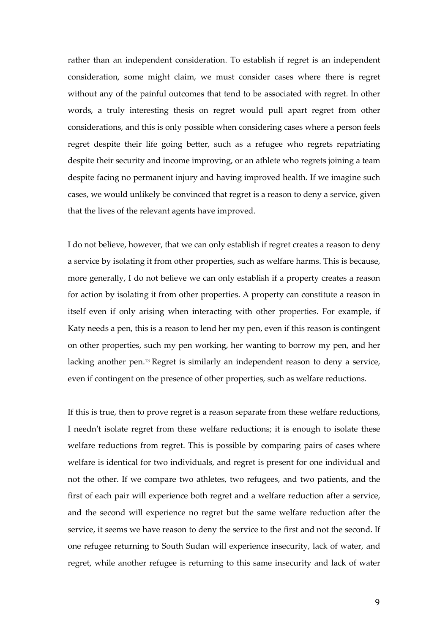rather than an independent consideration. To establish if regret is an independent consideration, some might claim, we must consider cases where there is regret without any of the painful outcomes that tend to be associated with regret. In other words, a truly interesting thesis on regret would pull apart regret from other considerations, and this is only possible when considering cases where a person feels regret despite their life going better, such as a refugee who regrets repatriating despite their security and income improving, or an athlete who regrets joining a team despite facing no permanent injury and having improved health. If we imagine such cases, we would unlikely be convinced that regret is a reason to deny a service, given that the lives of the relevant agents have improved.

I do not believe, however, that we can only establish if regret creates a reason to deny a service by isolating it from other properties, such as welfare harms. This is because, more generally, I do not believe we can only establish if a property creates a reason for action by isolating it from other properties. A property can constitute a reason in itself even if only arising when interacting with other properties. For example, if Katy needs a pen, this is a reason to lend her my pen, even if this reason is contingent on other properties, such my pen working, her wanting to borrow my pen, and her lacking another pen.13 Regret is similarly an independent reason to deny a service, even if contingent on the presence of other properties, such as welfare reductions.

If this is true, then to prove regret is a reason separate from these welfare reductions, I needn't isolate regret from these welfare reductions; it is enough to isolate these welfare reductions from regret. This is possible by comparing pairs of cases where welfare is identical for two individuals, and regret is present for one individual and not the other. If we compare two athletes, two refugees, and two patients, and the first of each pair will experience both regret and a welfare reduction after a service, and the second will experience no regret but the same welfare reduction after the service, it seems we have reason to deny the service to the first and not the second. If one refugee returning to South Sudan will experience insecurity, lack of water, and regret, while another refugee is returning to this same insecurity and lack of water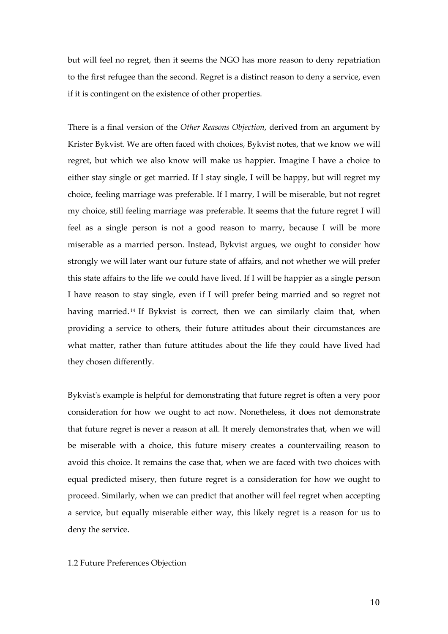but will feel no regret, then it seems the NGO has more reason to deny repatriation to the first refugee than the second. Regret is a distinct reason to deny a service, even if it is contingent on the existence of other properties.

There is a final version of the *Other Reasons Objection*, derived from an argument by Krister Bykvist. We are often faced with choices, Bykvist notes, that we know we will regret, but which we also know will make us happier. Imagine I have a choice to either stay single or get married. If I stay single, I will be happy, but will regret my choice, feeling marriage was preferable. If I marry, I will be miserable, but not regret my choice, still feeling marriage was preferable. It seems that the future regret I will feel as a single person is not a good reason to marry, because I will be more miserable as a married person. Instead, Bykvist argues, we ought to consider how strongly we will later want our future state of affairs, and not whether we will prefer this state affairs to the life we could have lived. If I will be happier as a single person I have reason to stay single, even if I will prefer being married and so regret not having married. <sup>14</sup> If Bykvist is correct, then we can similarly claim that, when providing a service to others, their future attitudes about their circumstances are what matter, rather than future attitudes about the life they could have lived had they chosen differently.

Bykvist's example is helpful for demonstrating that future regret is often a very poor consideration for how we ought to act now. Nonetheless, it does not demonstrate that future regret is never a reason at all. It merely demonstrates that, when we will be miserable with a choice, this future misery creates a countervailing reason to avoid this choice. It remains the case that, when we are faced with two choices with equal predicted misery, then future regret is a consideration for how we ought to proceed. Similarly, when we can predict that another will feel regret when accepting a service, but equally miserable either way, this likely regret is a reason for us to deny the service.

## 1.2 Future Preferences Objection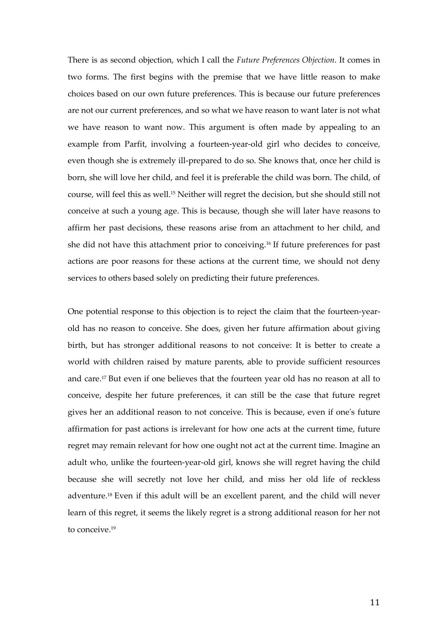There is as second objection, which I call the *Future Preferences Objection*. It comes in two forms. The first begins with the premise that we have little reason to make choices based on our own future preferences. This is because our future preferences are not our current preferences, and so what we have reason to want later is not what we have reason to want now. This argument is often made by appealing to an example from Parfit, involving a fourteen-year-old girl who decides to conceive, even though she is extremely ill-prepared to do so. She knows that, once her child is born, she will love her child, and feel it is preferable the child was born. The child, of course, will feel this as well.15 Neither will regret the decision, but she should still not conceive at such a young age. This is because, though she will later have reasons to affirm her past decisions, these reasons arise from an attachment to her child, and she did not have this attachment prior to conceiving.16 If future preferences for past actions are poor reasons for these actions at the current time, we should not deny services to others based solely on predicting their future preferences.

One potential response to this objection is to reject the claim that the fourteen-yearold has no reason to conceive. She does, given her future affirmation about giving birth, but has stronger additional reasons to not conceive: It is better to create a world with children raised by mature parents, able to provide sufficient resources and care.17 But even if one believes that the fourteen year old has no reason at all to conceive, despite her future preferences, it can still be the case that future regret gives her an additional reason to not conceive. This is because, even if one's future affirmation for past actions is irrelevant for how one acts at the current time, future regret may remain relevant for how one ought not act at the current time. Imagine an adult who, unlike the fourteen-year-old girl, knows she will regret having the child because she will secretly not love her child, and miss her old life of reckless adventure.18 Even if this adult will be an excellent parent, and the child will never learn of this regret, it seems the likely regret is a strong additional reason for her not to conceive.19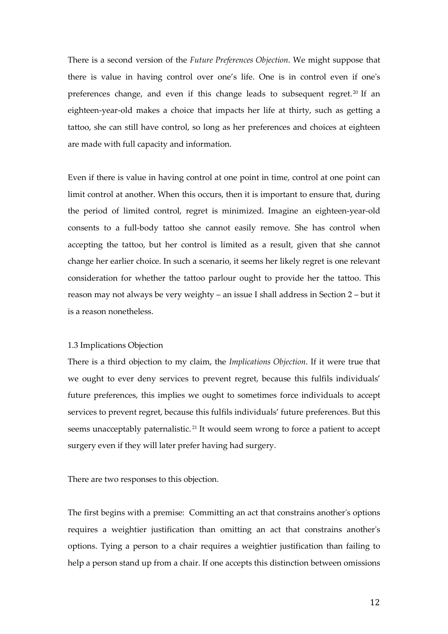There is a second version of the *Future Preferences Objection*. We might suppose that there is value in having control over one's life. One is in control even if one's preferences change, and even if this change leads to subsequent regret.<sup>20</sup> If an eighteen-year-old makes a choice that impacts her life at thirty, such as getting a tattoo, she can still have control, so long as her preferences and choices at eighteen are made with full capacity and information.

Even if there is value in having control at one point in time, control at one point can limit control at another. When this occurs, then it is important to ensure that, during the period of limited control, regret is minimized. Imagine an eighteen-year-old consents to a full-body tattoo she cannot easily remove. She has control when accepting the tattoo, but her control is limited as a result, given that she cannot change her earlier choice. In such a scenario, it seems her likely regret is one relevant consideration for whether the tattoo parlour ought to provide her the tattoo. This reason may not always be very weighty – an issue I shall address in Section 2 – but it is a reason nonetheless.

### 1.3 Implications Objection

There is a third objection to my claim, the *Implications Objection*. If it were true that we ought to ever deny services to prevent regret, because this fulfils individuals' future preferences, this implies we ought to sometimes force individuals to accept services to prevent regret, because this fulfils individuals' future preferences. But this seems unacceptably paternalistic.<sup>21</sup> It would seem wrong to force a patient to accept surgery even if they will later prefer having had surgery.

There are two responses to this objection.

The first begins with a premise: Committing an act that constrains another's options requires a weightier justification than omitting an act that constrains another's options. Tying a person to a chair requires a weightier justification than failing to help a person stand up from a chair. If one accepts this distinction between omissions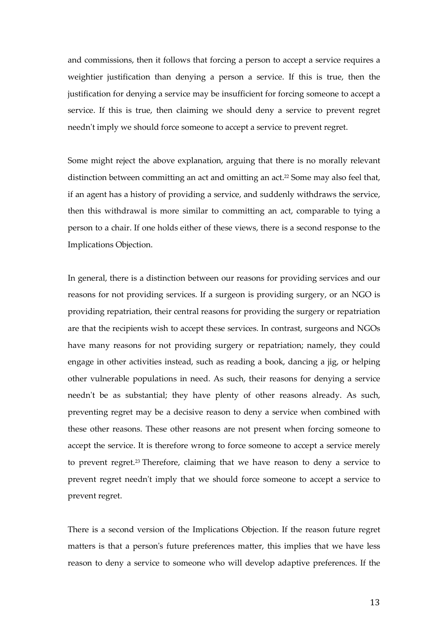and commissions, then it follows that forcing a person to accept a service requires a weightier justification than denying a person a service. If this is true, then the justification for denying a service may be insufficient for forcing someone to accept a service. If this is true, then claiming we should deny a service to prevent regret needn't imply we should force someone to accept a service to prevent regret.

Some might reject the above explanation, arguing that there is no morally relevant distinction between committing an act and omitting an act.22 Some may also feel that, if an agent has a history of providing a service, and suddenly withdraws the service, then this withdrawal is more similar to committing an act, comparable to tying a person to a chair. If one holds either of these views, there is a second response to the Implications Objection.

In general, there is a distinction between our reasons for providing services and our reasons for not providing services. If a surgeon is providing surgery, or an NGO is providing repatriation, their central reasons for providing the surgery or repatriation are that the recipients wish to accept these services. In contrast, surgeons and NGOs have many reasons for not providing surgery or repatriation; namely, they could engage in other activities instead, such as reading a book, dancing a jig, or helping other vulnerable populations in need. As such, their reasons for denying a service needn't be as substantial; they have plenty of other reasons already. As such, preventing regret may be a decisive reason to deny a service when combined with these other reasons. These other reasons are not present when forcing someone to accept the service. It is therefore wrong to force someone to accept a service merely to prevent regret.23 Therefore, claiming that we have reason to deny a service to prevent regret needn't imply that we should force someone to accept a service to prevent regret.

There is a second version of the Implications Objection. If the reason future regret matters is that a person's future preferences matter, this implies that we have less reason to deny a service to someone who will develop adaptive preferences. If the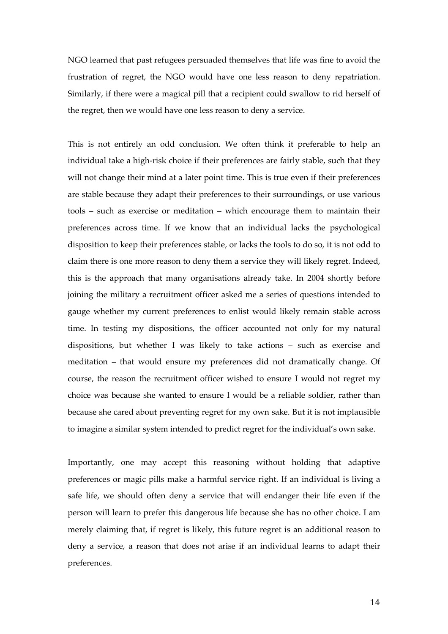NGO learned that past refugees persuaded themselves that life was fine to avoid the frustration of regret, the NGO would have one less reason to deny repatriation. Similarly, if there were a magical pill that a recipient could swallow to rid herself of the regret, then we would have one less reason to deny a service.

This is not entirely an odd conclusion. We often think it preferable to help an individual take a high-risk choice if their preferences are fairly stable, such that they will not change their mind at a later point time. This is true even if their preferences are stable because they adapt their preferences to their surroundings, or use various tools – such as exercise or meditation – which encourage them to maintain their preferences across time. If we know that an individual lacks the psychological disposition to keep their preferences stable, or lacks the tools to do so, it is not odd to claim there is one more reason to deny them a service they will likely regret. Indeed, this is the approach that many organisations already take. In 2004 shortly before joining the military a recruitment officer asked me a series of questions intended to gauge whether my current preferences to enlist would likely remain stable across time. In testing my dispositions, the officer accounted not only for my natural dispositions, but whether I was likely to take actions – such as exercise and meditation – that would ensure my preferences did not dramatically change. Of course, the reason the recruitment officer wished to ensure I would not regret my choice was because she wanted to ensure I would be a reliable soldier, rather than because she cared about preventing regret for my own sake. But it is not implausible to imagine a similar system intended to predict regret for the individual's own sake.

Importantly, one may accept this reasoning without holding that adaptive preferences or magic pills make a harmful service right. If an individual is living a safe life, we should often deny a service that will endanger their life even if the person will learn to prefer this dangerous life because she has no other choice. I am merely claiming that, if regret is likely, this future regret is an additional reason to deny a service, a reason that does not arise if an individual learns to adapt their preferences.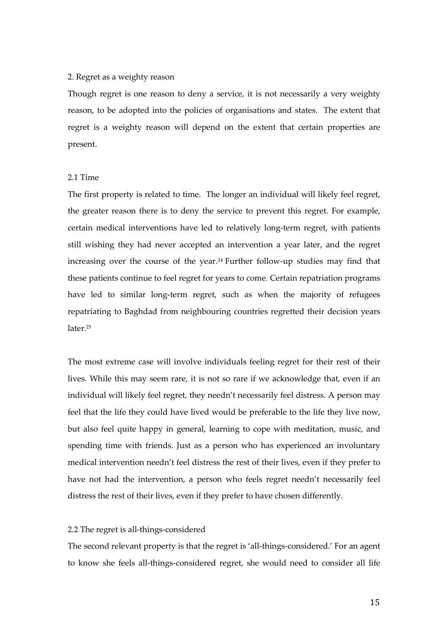#### 2. Regret as a weighty reason

Though regret is one reason to deny a service, it is not necessarily a very weighty reason, to be adopted into the policies of organisations and states. The extent that regret is a weighty reason will depend on the extent that certain properties are present.

## 2.1 Time

The first property is related to time. The longer an individual will likely feel regret, the greater reason there is to deny the service to prevent this regret. For example, certain medical interventions have led to relatively long-term regret, with patients still wishing they had never accepted an intervention a year later, and the regret increasing over the course of the year.<sup>24</sup> Further follow-up studies may find that these patients continue to feel regret for years to come. Certain repatriation programs have led to similar long-term regret, such as when the majority of refugees repatriating to Baghdad from neighbouring countries regretted their decision years later.<sup>25</sup>

The most extreme case will involve individuals feeling regret for their rest of their lives. While this may seem rare, it is not so rare if we acknowledge that, even if an individual will likely feel regret, they needn't necessarily feel distress. A person may feel that the life they could have lived would be preferable to the life they live now, but also feel quite happy in general, learning to cope with meditation, music, and spending time with friends. Just as a person who has experienced an involuntary medical intervention needn't feel distress the rest of their lives, even if they prefer to have not had the intervention, a person who feels regret needn't necessarily feel distress the rest of their lives, even if they prefer to have chosen differently.

# 2.2 The regret is all-things-considered

The second relevant property is that the regret is 'all-things-considered.' For an agent to know she feels all-things-considered regret, she would need to consider all life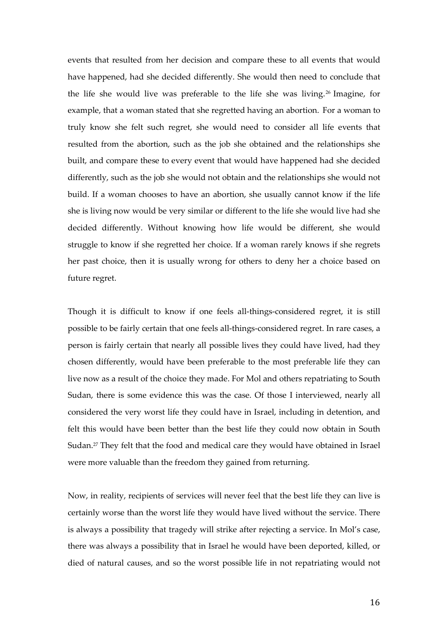events that resulted from her decision and compare these to all events that would have happened, had she decided differently. She would then need to conclude that the life she would live was preferable to the life she was living. <sup>26</sup> Imagine, for example, that a woman stated that she regretted having an abortion. For a woman to truly know she felt such regret, she would need to consider all life events that resulted from the abortion, such as the job she obtained and the relationships she built, and compare these to every event that would have happened had she decided differently, such as the job she would not obtain and the relationships she would not build. If a woman chooses to have an abortion, she usually cannot know if the life she is living now would be very similar or different to the life she would live had she decided differently. Without knowing how life would be different, she would struggle to know if she regretted her choice. If a woman rarely knows if she regrets her past choice, then it is usually wrong for others to deny her a choice based on future regret.

Though it is difficult to know if one feels all-things-considered regret, it is still possible to be fairly certain that one feels all-things-considered regret. In rare cases, a person is fairly certain that nearly all possible lives they could have lived, had they chosen differently, would have been preferable to the most preferable life they can live now as a result of the choice they made. For Mol and others repatriating to South Sudan, there is some evidence this was the case. Of those I interviewed, nearly all considered the very worst life they could have in Israel, including in detention, and felt this would have been better than the best life they could now obtain in South Sudan.<sup>27</sup> They felt that the food and medical care they would have obtained in Israel were more valuable than the freedom they gained from returning.

Now, in reality, recipients of services will never feel that the best life they can live is certainly worse than the worst life they would have lived without the service. There is always a possibility that tragedy will strike after rejecting a service. In Mol's case, there was always a possibility that in Israel he would have been deported, killed, or died of natural causes, and so the worst possible life in not repatriating would not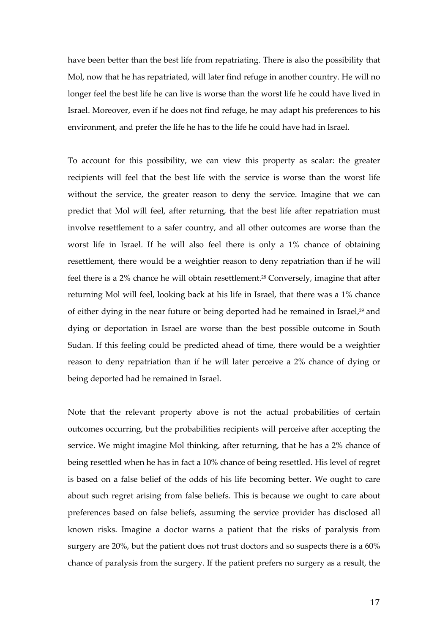have been better than the best life from repatriating. There is also the possibility that Mol, now that he has repatriated, will later find refuge in another country. He will no longer feel the best life he can live is worse than the worst life he could have lived in Israel. Moreover, even if he does not find refuge, he may adapt his preferences to his environment, and prefer the life he has to the life he could have had in Israel.

To account for this possibility, we can view this property as scalar: the greater recipients will feel that the best life with the service is worse than the worst life without the service, the greater reason to deny the service. Imagine that we can predict that Mol will feel, after returning, that the best life after repatriation must involve resettlement to a safer country, and all other outcomes are worse than the worst life in Israel. If he will also feel there is only a 1% chance of obtaining resettlement, there would be a weightier reason to deny repatriation than if he will feel there is a 2% chance he will obtain resettlement.28 Conversely, imagine that after returning Mol will feel, looking back at his life in Israel, that there was a 1% chance of either dying in the near future or being deported had he remained in Israel,<sup>29</sup> and dying or deportation in Israel are worse than the best possible outcome in South Sudan. If this feeling could be predicted ahead of time, there would be a weightier reason to deny repatriation than if he will later perceive a 2% chance of dying or being deported had he remained in Israel.

Note that the relevant property above is not the actual probabilities of certain outcomes occurring, but the probabilities recipients will perceive after accepting the service. We might imagine Mol thinking, after returning, that he has a 2% chance of being resettled when he has in fact a 10% chance of being resettled. His level of regret is based on a false belief of the odds of his life becoming better. We ought to care about such regret arising from false beliefs. This is because we ought to care about preferences based on false beliefs, assuming the service provider has disclosed all known risks. Imagine a doctor warns a patient that the risks of paralysis from surgery are 20%, but the patient does not trust doctors and so suspects there is a 60% chance of paralysis from the surgery. If the patient prefers no surgery as a result, the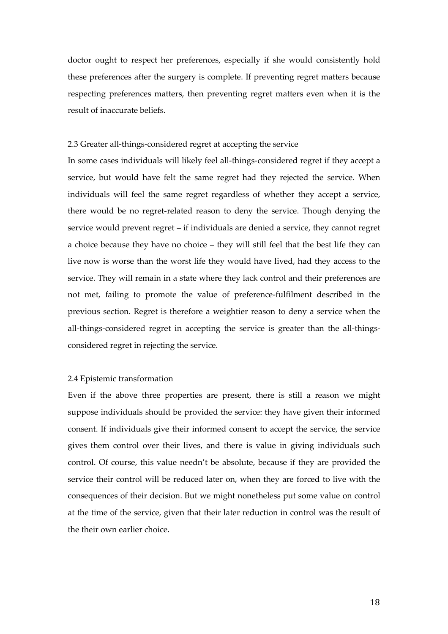doctor ought to respect her preferences, especially if she would consistently hold these preferences after the surgery is complete. If preventing regret matters because respecting preferences matters, then preventing regret matters even when it is the result of inaccurate beliefs.

## 2.3 Greater all-things-considered regret at accepting the service

In some cases individuals will likely feel all-things-considered regret if they accept a service, but would have felt the same regret had they rejected the service. When individuals will feel the same regret regardless of whether they accept a service, there would be no regret-related reason to deny the service. Though denying the service would prevent regret – if individuals are denied a service, they cannot regret a choice because they have no choice – they will still feel that the best life they can live now is worse than the worst life they would have lived, had they access to the service. They will remain in a state where they lack control and their preferences are not met, failing to promote the value of preference-fulfilment described in the previous section. Regret is therefore a weightier reason to deny a service when the all-things-considered regret in accepting the service is greater than the all-thingsconsidered regret in rejecting the service.

## 2.4 Epistemic transformation

Even if the above three properties are present, there is still a reason we might suppose individuals should be provided the service: they have given their informed consent. If individuals give their informed consent to accept the service, the service gives them control over their lives, and there is value in giving individuals such control. Of course, this value needn't be absolute, because if they are provided the service their control will be reduced later on, when they are forced to live with the consequences of their decision. But we might nonetheless put some value on control at the time of the service, given that their later reduction in control was the result of the their own earlier choice.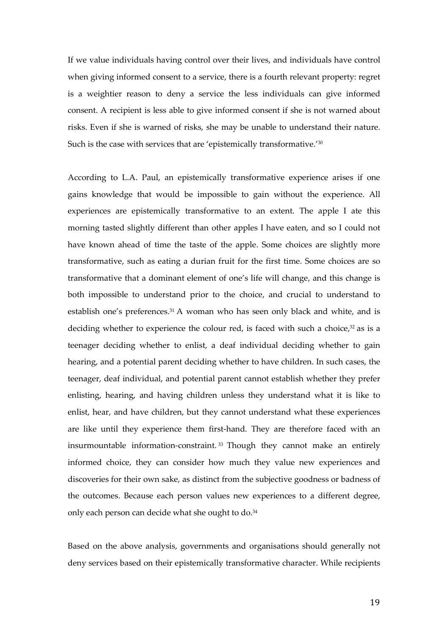If we value individuals having control over their lives, and individuals have control when giving informed consent to a service, there is a fourth relevant property: regret is a weightier reason to deny a service the less individuals can give informed consent. A recipient is less able to give informed consent if she is not warned about risks. Even if she is warned of risks, she may be unable to understand their nature. Such is the case with services that are 'epistemically transformative.' $^{\scriptscriptstyle 30}$ 

According to L.A. Paul, an epistemically transformative experience arises if one gains knowledge that would be impossible to gain without the experience. All experiences are epistemically transformative to an extent. The apple I ate this morning tasted slightly different than other apples I have eaten, and so I could not have known ahead of time the taste of the apple. Some choices are slightly more transformative, such as eating a durian fruit for the first time. Some choices are so transformative that a dominant element of one's life will change, and this change is both impossible to understand prior to the choice, and crucial to understand to establish one's preferences.<sup>31</sup> A woman who has seen only black and white, and is deciding whether to experience the colour red, is faced with such a choice, $32$  as is a teenager deciding whether to enlist, a deaf individual deciding whether to gain hearing, and a potential parent deciding whether to have children. In such cases, the teenager, deaf individual, and potential parent cannot establish whether they prefer enlisting, hearing, and having children unless they understand what it is like to enlist, hear, and have children, but they cannot understand what these experiences are like until they experience them first-hand. They are therefore faced with an insurmountable information-constraint. <sup>33</sup> Though they cannot make an entirely informed choice, they can consider how much they value new experiences and discoveries for their own sake, as distinct from the subjective goodness or badness of the outcomes. Because each person values new experiences to a different degree, only each person can decide what she ought to do.<sup>34</sup>

Based on the above analysis, governments and organisations should generally not deny services based on their epistemically transformative character. While recipients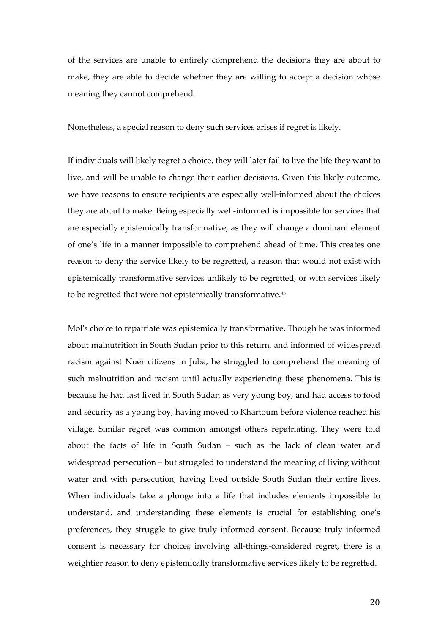of the services are unable to entirely comprehend the decisions they are about to make, they are able to decide whether they are willing to accept a decision whose meaning they cannot comprehend.

Nonetheless, a special reason to deny such services arises if regret is likely.

If individuals will likely regret a choice, they will later fail to live the life they want to live, and will be unable to change their earlier decisions. Given this likely outcome, we have reasons to ensure recipients are especially well-informed about the choices they are about to make. Being especially well-informed is impossible for services that are especially epistemically transformative, as they will change a dominant element of one's life in a manner impossible to comprehend ahead of time. This creates one reason to deny the service likely to be regretted, a reason that would not exist with epistemically transformative services unlikely to be regretted, or with services likely to be regretted that were not epistemically transformative. $35$ 

Mol's choice to repatriate was epistemically transformative. Though he was informed about malnutrition in South Sudan prior to this return, and informed of widespread racism against Nuer citizens in Juba, he struggled to comprehend the meaning of such malnutrition and racism until actually experiencing these phenomena. This is because he had last lived in South Sudan as very young boy, and had access to food and security as a young boy, having moved to Khartoum before violence reached his village. Similar regret was common amongst others repatriating. They were told about the facts of life in South Sudan – such as the lack of clean water and widespread persecution – but struggled to understand the meaning of living without water and with persecution, having lived outside South Sudan their entire lives. When individuals take a plunge into a life that includes elements impossible to understand, and understanding these elements is crucial for establishing one's preferences, they struggle to give truly informed consent. Because truly informed consent is necessary for choices involving all-things-considered regret, there is a weightier reason to deny epistemically transformative services likely to be regretted.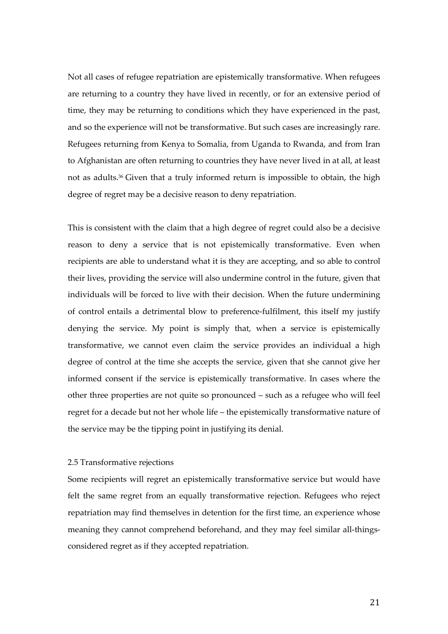Not all cases of refugee repatriation are epistemically transformative. When refugees are returning to a country they have lived in recently, or for an extensive period of time, they may be returning to conditions which they have experienced in the past, and so the experience will not be transformative. But such cases are increasingly rare. Refugees returning from Kenya to Somalia, from Uganda to Rwanda, and from Iran to Afghanistan are often returning to countries they have never lived in at all, at least not as adults.36 Given that a truly informed return is impossible to obtain, the high degree of regret may be a decisive reason to deny repatriation.

This is consistent with the claim that a high degree of regret could also be a decisive reason to deny a service that is not epistemically transformative. Even when recipients are able to understand what it is they are accepting, and so able to control their lives, providing the service will also undermine control in the future, given that individuals will be forced to live with their decision. When the future undermining of control entails a detrimental blow to preference-fulfilment, this itself my justify denying the service. My point is simply that, when a service is epistemically transformative, we cannot even claim the service provides an individual a high degree of control at the time she accepts the service, given that she cannot give her informed consent if the service is epistemically transformative. In cases where the other three properties are not quite so pronounced – such as a refugee who will feel regret for a decade but not her whole life – the epistemically transformative nature of the service may be the tipping point in justifying its denial.

#### 2.5 Transformative rejections

Some recipients will regret an epistemically transformative service but would have felt the same regret from an equally transformative rejection. Refugees who reject repatriation may find themselves in detention for the first time, an experience whose meaning they cannot comprehend beforehand, and they may feel similar all-thingsconsidered regret as if they accepted repatriation.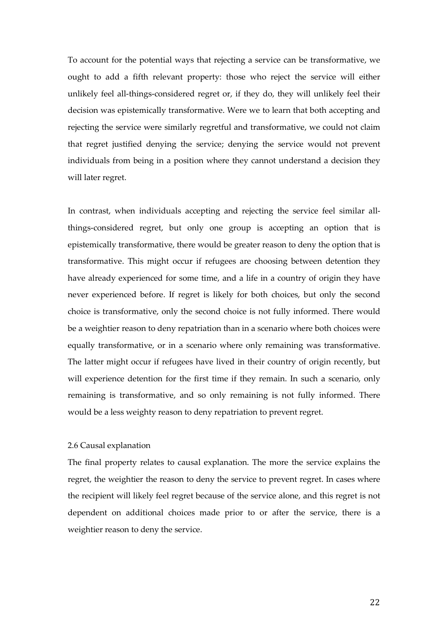To account for the potential ways that rejecting a service can be transformative, we ought to add a fifth relevant property: those who reject the service will either unlikely feel all-things-considered regret or, if they do, they will unlikely feel their decision was epistemically transformative. Were we to learn that both accepting and rejecting the service were similarly regretful and transformative, we could not claim that regret justified denying the service; denying the service would not prevent individuals from being in a position where they cannot understand a decision they will later regret.

In contrast, when individuals accepting and rejecting the service feel similar allthings-considered regret, but only one group is accepting an option that is epistemically transformative, there would be greater reason to deny the option that is transformative. This might occur if refugees are choosing between detention they have already experienced for some time, and a life in a country of origin they have never experienced before. If regret is likely for both choices, but only the second choice is transformative, only the second choice is not fully informed. There would be a weightier reason to deny repatriation than in a scenario where both choices were equally transformative, or in a scenario where only remaining was transformative. The latter might occur if refugees have lived in their country of origin recently, but will experience detention for the first time if they remain. In such a scenario, only remaining is transformative, and so only remaining is not fully informed. There would be a less weighty reason to deny repatriation to prevent regret.

# 2.6 Causal explanation

The final property relates to causal explanation. The more the service explains the regret, the weightier the reason to deny the service to prevent regret. In cases where the recipient will likely feel regret because of the service alone, and this regret is not dependent on additional choices made prior to or after the service, there is a weightier reason to deny the service.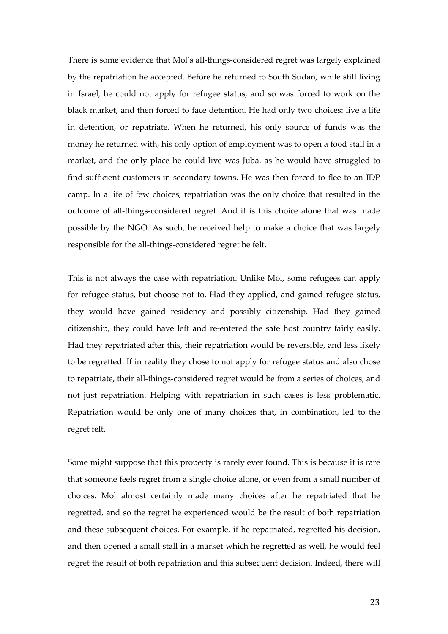There is some evidence that Mol's all-things-considered regret was largely explained by the repatriation he accepted. Before he returned to South Sudan, while still living in Israel, he could not apply for refugee status, and so was forced to work on the black market, and then forced to face detention. He had only two choices: live a life in detention, or repatriate. When he returned, his only source of funds was the money he returned with, his only option of employment was to open a food stall in a market, and the only place he could live was Juba, as he would have struggled to find sufficient customers in secondary towns. He was then forced to flee to an IDP camp. In a life of few choices, repatriation was the only choice that resulted in the outcome of all-things-considered regret. And it is this choice alone that was made possible by the NGO. As such, he received help to make a choice that was largely responsible for the all-things-considered regret he felt.

This is not always the case with repatriation. Unlike Mol, some refugees can apply for refugee status, but choose not to. Had they applied, and gained refugee status, they would have gained residency and possibly citizenship. Had they gained citizenship, they could have left and re-entered the safe host country fairly easily. Had they repatriated after this, their repatriation would be reversible, and less likely to be regretted. If in reality they chose to not apply for refugee status and also chose to repatriate, their all-things-considered regret would be from a series of choices, and not just repatriation. Helping with repatriation in such cases is less problematic. Repatriation would be only one of many choices that, in combination, led to the regret felt.

Some might suppose that this property is rarely ever found. This is because it is rare that someone feels regret from a single choice alone, or even from a small number of choices. Mol almost certainly made many choices after he repatriated that he regretted, and so the regret he experienced would be the result of both repatriation and these subsequent choices. For example, if he repatriated, regretted his decision, and then opened a small stall in a market which he regretted as well, he would feel regret the result of both repatriation and this subsequent decision. Indeed, there will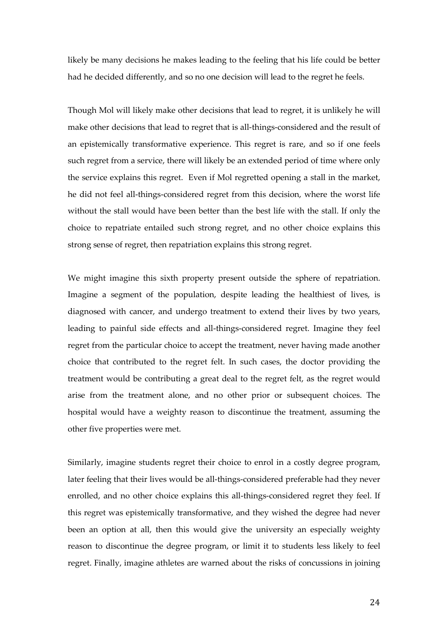likely be many decisions he makes leading to the feeling that his life could be better had he decided differently, and so no one decision will lead to the regret he feels.

Though Mol will likely make other decisions that lead to regret, it is unlikely he will make other decisions that lead to regret that is all-things-considered and the result of an epistemically transformative experience. This regret is rare, and so if one feels such regret from a service, there will likely be an extended period of time where only the service explains this regret. Even if Mol regretted opening a stall in the market, he did not feel all-things-considered regret from this decision, where the worst life without the stall would have been better than the best life with the stall. If only the choice to repatriate entailed such strong regret, and no other choice explains this strong sense of regret, then repatriation explains this strong regret.

We might imagine this sixth property present outside the sphere of repatriation. Imagine a segment of the population, despite leading the healthiest of lives, is diagnosed with cancer, and undergo treatment to extend their lives by two years, leading to painful side effects and all-things-considered regret. Imagine they feel regret from the particular choice to accept the treatment, never having made another choice that contributed to the regret felt. In such cases, the doctor providing the treatment would be contributing a great deal to the regret felt, as the regret would arise from the treatment alone, and no other prior or subsequent choices. The hospital would have a weighty reason to discontinue the treatment, assuming the other five properties were met.

Similarly, imagine students regret their choice to enrol in a costly degree program, later feeling that their lives would be all-things-considered preferable had they never enrolled, and no other choice explains this all-things-considered regret they feel. If this regret was epistemically transformative, and they wished the degree had never been an option at all, then this would give the university an especially weighty reason to discontinue the degree program, or limit it to students less likely to feel regret. Finally, imagine athletes are warned about the risks of concussions in joining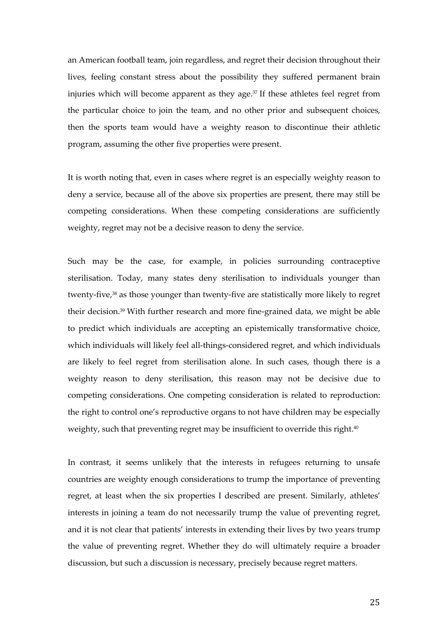an American football team, join regardless, and regret their decision throughout their lives, feeling constant stress about the possibility they suffered permanent brain injuries which will become apparent as they age.<sup>37</sup> If these athletes feel regret from the particular choice to join the team, and no other prior and subsequent choices, then the sports team would have a weighty reason to discontinue their athletic program, assuming the other five properties were present.

It is worth noting that, even in cases where regret is an especially weighty reason to deny a service, because all of the above six properties are present, there may still be competing considerations. When these competing considerations are sufficiently weighty, regret may not be a decisive reason to deny the service.

Such may be the case, for example, in policies surrounding contraceptive sterilisation. Today, many states deny sterilisation to individuals younger than twenty-five,38 as those younger than twenty-five are statistically more likely to regret their decision.39 With further research and more fine-grained data, we might be able to predict which individuals are accepting an epistemically transformative choice, which individuals will likely feel all-things-considered regret, and which individuals are likely to feel regret from sterilisation alone. In such cases, though there is a weighty reason to deny sterilisation, this reason may not be decisive due to competing considerations. One competing consideration is related to reproduction: the right to control one's reproductive organs to not have children may be especially weighty, such that preventing regret may be insufficient to override this right. $^{40}$ 

In contrast, it seems unlikely that the interests in refugees returning to unsafe countries are weighty enough considerations to trump the importance of preventing regret, at least when the six properties I described are present. Similarly, athletes' interests in joining a team do not necessarily trump the value of preventing regret, and it is not clear that patients' interests in extending their lives by two years trump the value of preventing regret. Whether they do will ultimately require a broader discussion, but such a discussion is necessary, precisely because regret matters.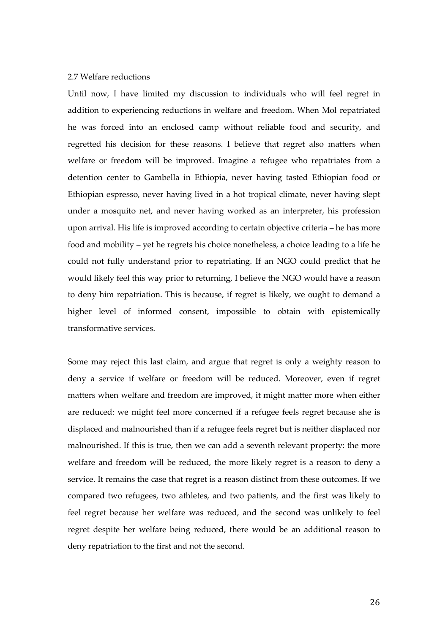# 2.7 Welfare reductions

Until now, I have limited my discussion to individuals who will feel regret in addition to experiencing reductions in welfare and freedom. When Mol repatriated he was forced into an enclosed camp without reliable food and security, and regretted his decision for these reasons. I believe that regret also matters when welfare or freedom will be improved. Imagine a refugee who repatriates from a detention center to Gambella in Ethiopia, never having tasted Ethiopian food or Ethiopian espresso, never having lived in a hot tropical climate, never having slept under a mosquito net, and never having worked as an interpreter, his profession upon arrival. His life is improved according to certain objective criteria – he has more food and mobility – yet he regrets his choice nonetheless, a choice leading to a life he could not fully understand prior to repatriating. If an NGO could predict that he would likely feel this way prior to returning, I believe the NGO would have a reason to deny him repatriation. This is because, if regret is likely, we ought to demand a higher level of informed consent, impossible to obtain with epistemically transformative services.

Some may reject this last claim, and argue that regret is only a weighty reason to deny a service if welfare or freedom will be reduced. Moreover, even if regret matters when welfare and freedom are improved, it might matter more when either are reduced: we might feel more concerned if a refugee feels regret because she is displaced and malnourished than if a refugee feels regret but is neither displaced nor malnourished. If this is true, then we can add a seventh relevant property: the more welfare and freedom will be reduced, the more likely regret is a reason to deny a service. It remains the case that regret is a reason distinct from these outcomes. If we compared two refugees, two athletes, and two patients, and the first was likely to feel regret because her welfare was reduced, and the second was unlikely to feel regret despite her welfare being reduced, there would be an additional reason to deny repatriation to the first and not the second.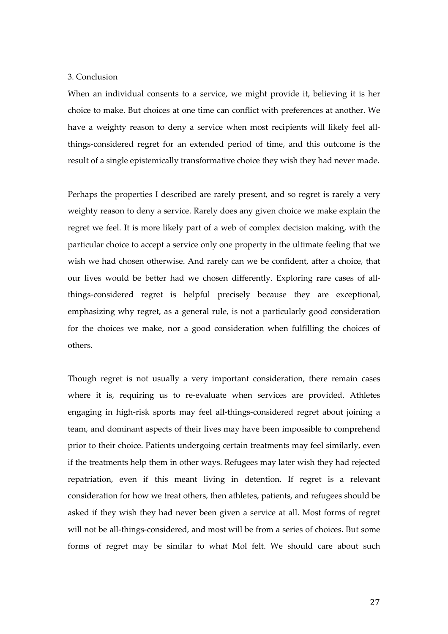## 3. Conclusion

When an individual consents to a service, we might provide it, believing it is her choice to make. But choices at one time can conflict with preferences at another. We have a weighty reason to deny a service when most recipients will likely feel allthings-considered regret for an extended period of time, and this outcome is the result of a single epistemically transformative choice they wish they had never made.

Perhaps the properties I described are rarely present, and so regret is rarely a very weighty reason to deny a service. Rarely does any given choice we make explain the regret we feel. It is more likely part of a web of complex decision making, with the particular choice to accept a service only one property in the ultimate feeling that we wish we had chosen otherwise. And rarely can we be confident, after a choice, that our lives would be better had we chosen differently. Exploring rare cases of allthings-considered regret is helpful precisely because they are exceptional, emphasizing why regret, as a general rule, is not a particularly good consideration for the choices we make, nor a good consideration when fulfilling the choices of others.

Though regret is not usually a very important consideration, there remain cases where it is, requiring us to re-evaluate when services are provided. Athletes engaging in high-risk sports may feel all-things-considered regret about joining a team, and dominant aspects of their lives may have been impossible to comprehend prior to their choice. Patients undergoing certain treatments may feel similarly, even if the treatments help them in other ways. Refugees may later wish they had rejected repatriation, even if this meant living in detention. If regret is a relevant consideration for how we treat others, then athletes, patients, and refugees should be asked if they wish they had never been given a service at all. Most forms of regret will not be all-things-considered, and most will be from a series of choices. But some forms of regret may be similar to what Mol felt. We should care about such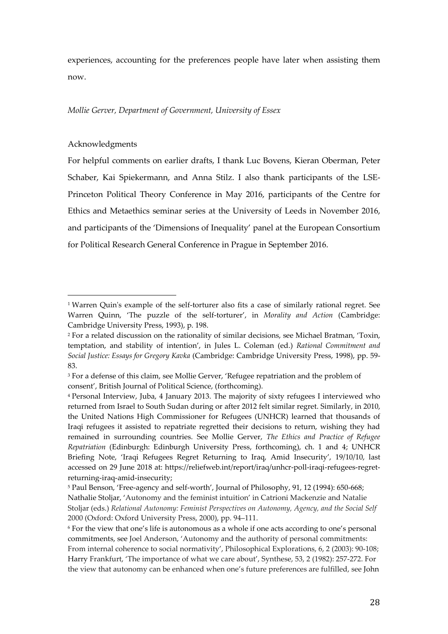experiences, accounting for the preferences people have later when assisting them now.

# *Mollie Gerver, Department of Government, University of Essex*

## Acknowledgments

 $\overline{a}$ 

For helpful comments on earlier drafts, I thank Luc Bovens, Kieran Oberman, Peter Schaber, Kai Spiekermann, and Anna Stilz. I also thank participants of the LSE-Princeton Political Theory Conference in May 2016, participants of the Centre for Ethics and Metaethics seminar series at the University of Leeds in November 2016, and participants of the 'Dimensions of Inequality' panel at the European Consortium for Political Research General Conference in Prague in September 2016.

<sup>1</sup> Warren Quin's example of the self-torturer also fits a case of similarly rational regret. See Warren Quinn, 'The puzzle of the self-torturer', in *Morality and Action* (Cambridge: Cambridge University Press, 1993), p. 198.

<sup>2</sup> For a related discussion on the rationality of similar decisions, see Michael Bratman, 'Toxin, temptation, and stability of intention', in Jules L. Coleman (ed.) *Rational Commitment and Social Justice: Essays for Gregory Kavka* (Cambridge: Cambridge University Press, 1998), pp. 59- 83.

<sup>3</sup> For a defense of this claim, see Mollie Gerver, 'Refugee repatriation and the problem of consent', British Journal of Political Science, (forthcoming).

<sup>4</sup> Personal Interview, Juba, 4 January 2013. The majority of sixty refugees I interviewed who returned from Israel to South Sudan during or after 2012 felt similar regret. Similarly, in 2010, the United Nations High Commissioner for Refugees (UNHCR) learned that thousands of Iraqi refugees it assisted to repatriate regretted their decisions to return, wishing they had remained in surrounding countries. See Mollie Gerver, *The Ethics and Practice of Refugee Repatriation* (Edinburgh: Edinburgh University Press, forthcoming), ch. 1 and 4; UNHCR Briefing Note, 'Iraqi Refugees Regret Returning to Iraq, Amid Insecurity', 19/10/10, last accessed on 29 June 2018 at: https://reliefweb.int/report/iraq/unhcr-poll-iraqi-refugees-regretreturning-iraq-amid-insecurity;

<sup>5</sup> Paul Benson, 'Free-agency and self-worth', Journal of Philosophy, 91, 12 (1994): 650-668; Nathalie Stoljar, 'Autonomy and the feminist intuition' in Catrioni Mackenzie and Natalie Stoljar (eds.) *Relational Autonomy: Feminist Perspectives on Autonomy, Agency, and the Social Self* 2000 (Oxford: Oxford University Press, 2000), pp. 94–111.

<sup>6</sup> For the view that one's life is autonomous as a whole if one acts according to one's personal commitments, see Joel Anderson, 'Autonomy and the authority of personal commitments: From internal coherence to social normativity', Philosophical Explorations, 6, 2 (2003): 90-108; Harry Frankfurt, 'The importance of what we care about', Synthese, 53, 2 (1982): 257-272. For the view that autonomy can be enhanced when one's future preferences are fulfilled, see John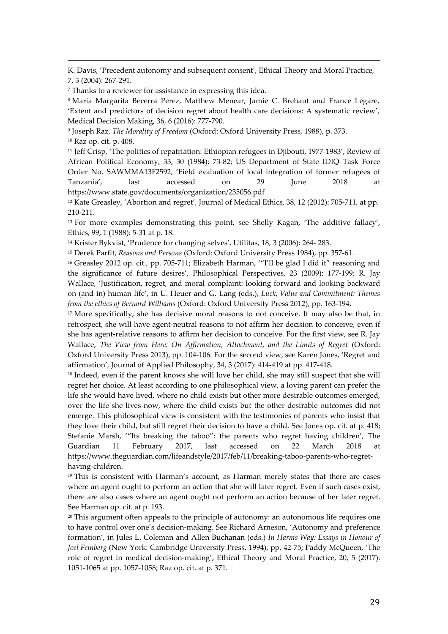K. Davis, 'Precedent autonomy and subsequent consent', Ethical Theory and Moral Practice, 7, 3 (2004): 267-291.

7 Thanks to a reviewer for assistance in expressing this idea.

 $\overline{a}$ 

 $^{\rm 8}$  Maria Margarita Becerra Perez, Matthew Menear, Jamie C. Brehaut and France Legare, 'Extent and predictors of decision regret about health care decisions: A systematic review', Medical Decision Making, 36, 6 (2016): 777-790.

9 Joseph Raz, *The Morality of Freedom* (Oxford: Oxford University Press, 1988), p. 373. <sup>10</sup> Raz op. cit. p. 408.

<sup>11</sup> Jeff Crisp, 'The politics of repatriation: Ethiopian refugees in Djibouti, 1977-1983', Review of African Political Economy, 33, 30 (1984): 73-82; US Department of State IDIQ Task Force Order No. SAWMMA13F2592, 'Field evaluation of local integration of former refugees of Tanzania', last accessed on 29 June 2018 at https://www.state.gov/documents/organization/235056.pdf

<sup>12</sup> Kate Greasley, 'Abortion and regret', Journal of Medical Ethics, 38, 12 (2012): 705-711, at pp. 210-211.

<sup>13</sup> For more examples demonstrating this point, see Shelly Kagan, 'The additive fallacy', Ethics, 99, 1 (1988): 5-31 at p. 18.

<sup>14</sup> Krister Bykvist, 'Prudence for changing selves', Utilitas, 18, 3 (2006): 264- 283.

<sup>15</sup> Derek Parfit, *Reasons and Persons* (Oxford: Oxford University Press 1984), pp. 357-61.

<sup>16</sup> Greasley 2012 op. cit., pp. 705-711; Elizabeth Harman, "'I'll be glad I did it" reasoning and the significance of future desires', Philosophical Perspectives, 23 (2009): 177-199; R. Jay Wallace, 'Justification, regret, and moral complaint: looking forward and looking backward on (and in) human life', in U. Heuer and G. Lang (eds.), *Luck, Value and Commitment: Themes from the ethics of Bernard Williams* (Oxford: Oxford University Press 2012), pp. 163-194.

<sup>17</sup> More specifically, she has decisive moral reasons to not conceive. It may also be that, in retrospect, she will have agent-neutral reasons to not affirm her decision to conceive, even if she has agent-relative reasons to affirm her decision to conceive. For the first view, see R. Jay Wallace, *The View from Here: On Affirmation, Attachment, and the Limits of Regret* (Oxford: Oxford University Press 2013), pp. 104-106. For the second view, see Karen Jones, 'Regret and affirmation', Journal of Applied Philosophy, 34, 3 (2017): 414-419 at pp. 417-418.

<sup>18</sup> Indeed, even if the parent knows she will love her child, she may still suspect that she will regret her choice. At least according to one philosophical view, a loving parent can prefer the life she would have lived, where no child exists but other more desirable outcomes emerged, over the life she lives now, where the child exists but the other desirable outcomes did not emerge. This philosophical view is consistent with the testimonies of parents who insist that they love their child, but still regret their decision to have a child. See Jones op. cit. at p. 418; Stefanie Marsh, '"Its breaking the taboo": the parents who regret having children', The Guardian 11 February 2017, last accessed on 22 March 2018 at https://www.theguardian.com/lifeandstyle/2017/feb/11/breaking-taboo-parents-who-regrethaving-children.

<sup>19</sup> This is consistent with Harman's account, as Harman merely states that there are cases where an agent ought to perform an action that she will later regret. Even if such cases exist, there are also cases where an agent ought not perform an action because of her later regret. See Harman op. cit. at p. 193.

 $20$  This argument often appeals to the principle of autonomy: an autonomous life requires one to have control over one's decision-making. See Richard Arneson, 'Autonomy and preference formation', in Jules L. Coleman and Allen Buchanan (eds.) *In Harms Way: Essays in Honour of Joel Feinberg* (New York: Cambridge University Press, 1994), pp. 42-75; Paddy McQueen, 'The role of regret in medical decision-making', Ethical Theory and Moral Practice, 20, 5 (2017): 1051-1065 at pp. 1057-1058; Raz op. cit. at p. 371.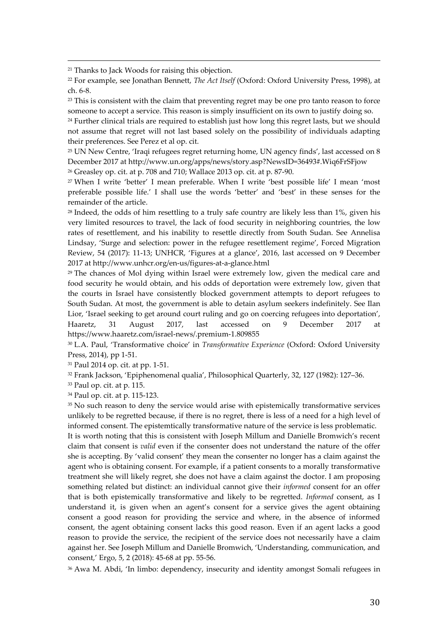<sup>21</sup> Thanks to Jack Woods for raising this objection.

 $\overline{a}$ 

<sup>22</sup> For example, see Jonathan Bennett, *The Act Itself* (Oxford: Oxford University Press, 1998), at ch. 6-8.

<sup>23</sup> This is consistent with the claim that preventing regret may be one pro tanto reason to force someone to accept a service. This reason is simply insufficient on its own to justify doing so.

<sup>24</sup> Further clinical trials are required to establish just how long this regret lasts, but we should not assume that regret will not last based solely on the possibility of individuals adapting their preferences. See Perez et al op. cit.

<sup>25</sup> UN New Centre, 'Iraqi refugees regret returning home, UN agency finds', last accessed on 8 December 2017 at http://www.un.org/apps/news/story.asp?NewsID=36493#.Wiq6FrSFjow <sup>26</sup> Greasley op. cit. at p. 708 and 710; Wallace 2013 op. cit. at p. 87-90.

<sup>27</sup> When I write 'better' I mean preferable. When I write 'best possible life' I mean 'most preferable possible life.' I shall use the words 'better' and 'best' in these senses for the remainder of the article.

<sup>28</sup> Indeed, the odds of him resettling to a truly safe country are likely less than 1%, given his very limited resources to travel, the lack of food security in neighboring countries, the low rates of resettlement, and his inability to resettle directly from South Sudan. See Annelisa Lindsay, 'Surge and selection: power in the refugee resettlement regime', Forced Migration Review, 54 (2017): 11-13; UNHCR, 'Figures at a glance', 2016, last accessed on 9 December 2017 at http://www.unhcr.org/en-us/figures-at-a-glance.html

<sup>29</sup> The chances of Mol dying within Israel were extremely low, given the medical care and food security he would obtain, and his odds of deportation were extremely low, given that the courts in Israel have consistently blocked government attempts to deport refugees to South Sudan. At most, the government is able to detain asylum seekers indefinitely. See Ilan Lior, 'Israel seeking to get around court ruling and go on coercing refugees into deportation', Haaretz, 31 August 2017, last accessed on 9 December 2017 at https://www.haaretz.com/israel-news/.premium-1.809855

<sup>30</sup> L.A. Paul, 'Transformative choice' in *Transformative Experience* (Oxford: Oxford University Press, 2014), pp 1-51.

<sup>31</sup> Paul 2014 op. cit. at pp. 1-51.

<sup>32</sup> Frank Jackson, 'Epiphenomenal qualia', Philosophical Quarterly, 32, 127 (1982): 127–36.

<sup>33</sup> Paul op. cit. at p. 115.

<sup>34</sup> Paul op. cit. at p. 115-123.

<sup>35</sup> No such reason to deny the service would arise with epistemically transformative services unlikely to be regretted because, if there is no regret, there is less of a need for a high level of informed consent. The epistemtically transformative nature of the service is less problematic.

It is worth noting that this is consistent with Joseph Millum and Danielle Bromwich's recent claim that consent is *valid* even if the consenter does not understand the nature of the offer she is accepting. By 'valid consent' they mean the consenter no longer has a claim against the agent who is obtaining consent. For example, if a patient consents to a morally transformative treatment she will likely regret, she does not have a claim against the doctor. I am proposing something related but distinct: an individual cannot give their *informed* consent for an offer that is both epistemically transformative and likely to be regretted. *Informed* consent, as I understand it, is given when an agent's consent for a service gives the agent obtaining consent a good reason for providing the service and where, in the absence of informed consent, the agent obtaining consent lacks this good reason. Even if an agent lacks a good reason to provide the service, the recipient of the service does not necessarily have a claim against her. See Joseph Millum and Danielle Bromwich, 'Understanding, communication, and consent,' Ergo, 5, 2 (2018): 45-68 at pp. 55-56.

36 Awa M. Abdi, 'In limbo: dependency, insecurity and identity amongst Somali refugees in